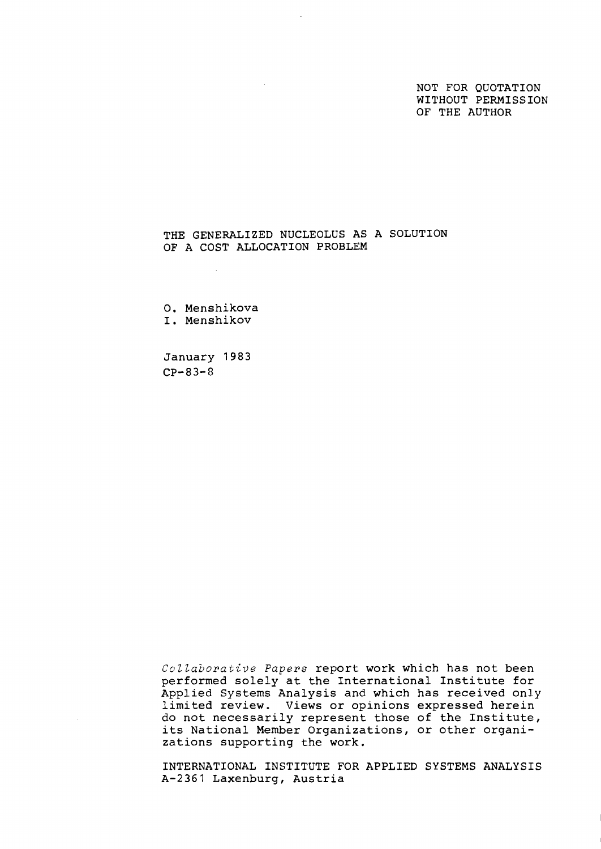NOT FOR QUOTATION WITHOUT PERMISSION OF THE AUTHOR

# THE GENERALIZED NUCLEOLUS AS A SOLUTION OF A COST ALLOCATION PROBLEM

 $\mathcal{L}$ 

0. Menshikova I. Menshikov

January 1983 CP-83-8

J.

Collaborative Papers report work which has not been performed solely at the International Institute for Applied Systems Analysis and which has received only limited review. Views or opinions expressed herein do not necessarily represent those of the Institute, its National Member Organizations, or other organizations supporting the work.

INTERNATIONAL INSTITUTE FOR APPLIED SYSTEMS ANALYSIS A-2361 Laxenburg, Austria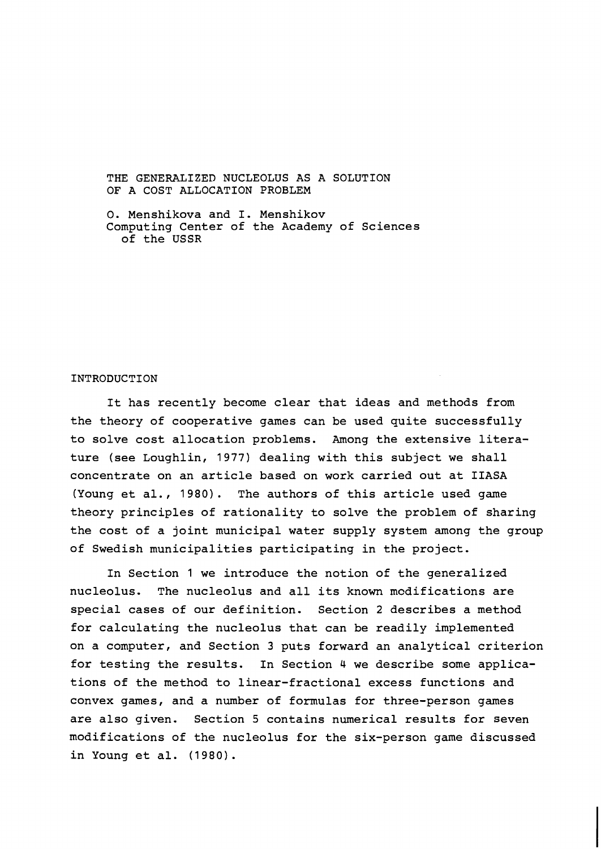THE GENERALIZED NUCLEOLUS AS A SOLUTION OF A COST ALLOCATION PROBLEM

0. Menshikova and I. Menshikov Computing Center of the Academy of Sciences of the USSR

## INTRODUCTION

It has recently become clear that ideas and methods from the theory of cooperative games can be used quite successfully to solve cost allocation problems. Among the extensive literature (see Loughlin, 1977) dealing with this subject we shall concentrate on an article based on work carried out at IIASA (Young et al., 1980). The authors of this article used game theory principles of rationality to solve the problem of sharing the cost of a joint municipal water supply system among the group of Swedish municipalities participating in the project.

In Section 1 we introduce the notion of the generalized nucleolus. The nucleolus and all its known mcdifications are special cases of our definition. Section 2 describes a method for calculating the nucleolus that can be readily implemented on a computer, and Section 3 puts forward an analytical criterion for testing the results. In Section 4 we describe some applications of the method to linear-fractional excess functions and convex games, and a number of formulas for three-person games are also given. Section 5 contains numerical results for seven modifications of the nucleolus for the six-person game discussed in Young et al. (1980).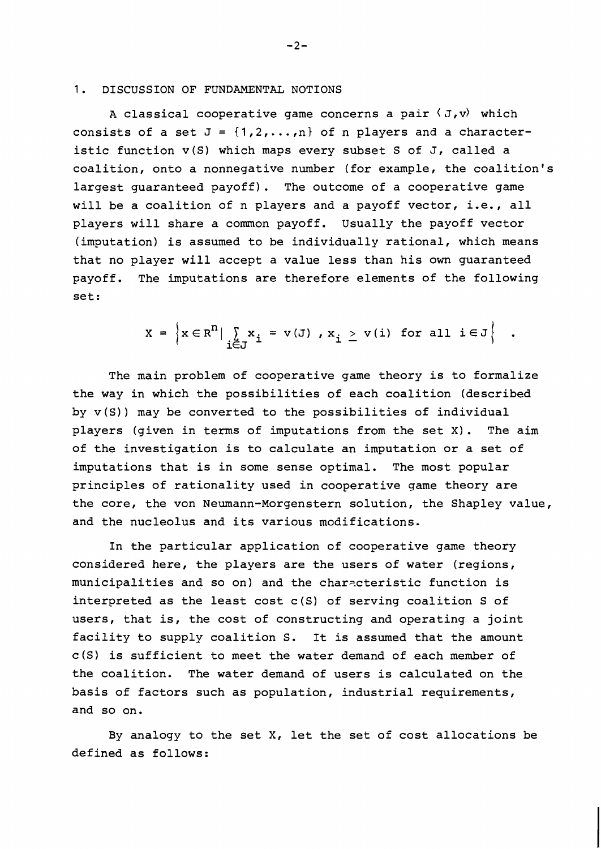#### 1. DISCUSSION OF FUNDAMENTAL NOTIONS

A classical cooperative game concerns a pair  $\langle J, v \rangle$  which consists of a set  $J = \{1, 2, ..., n\}$  of n players and a characteristic function v(S) which maps every subset S of J, called a coalition, onto a nonnegative number (for example, the coalition's largest guaranteed payoff). The outcome of a cooperative game will be a coalition of n players and a payoff vector, i.e., all players will share a common payoff. Usually the payoff vector (imputation) is assumed to be individually rational, which means that no player will accept a value less than his own guaranteed payoff. The imputations are therefore elements of the following set:

$$
X = \left\{ x \in R^n \mid \sum_{i \in J} x_i = v(J) , x_i \ge v(i) \text{ for all } i \in J \right\} .
$$

The main problem of cooperative game theory is to formalize the way in which the possibilities of each coalition (described by v(S)) may be converted to the possibilities of individual players (given in terms of imputations from the set X). The aim of the investigation is to calculate an imputation or a set of imputations that is in some sense optimal. The most popular principles of rationality used in cooperative game theory are the core, the von Neumann-Morgenstern solution, the Shapley value, and the nucleolus and its various modifications.

In the particular application of cooperative game theory considered here, the players are the users of water (regions, municipalities and so on) and the characteristic function is interpreted as the least cost c(S) of serving coalition S of users, that is, the cost of constructing and operating a joint facility to supply coalition S. It is assumed that the amount c(S) is sufficient to meet the water demand of each member of the coalition. The water demand of users is calculated on the basis of factors such as population, industrial requirements, and so on.

By analogy to the set X, let the set of cost allocations be defined as follows:

 $-2-$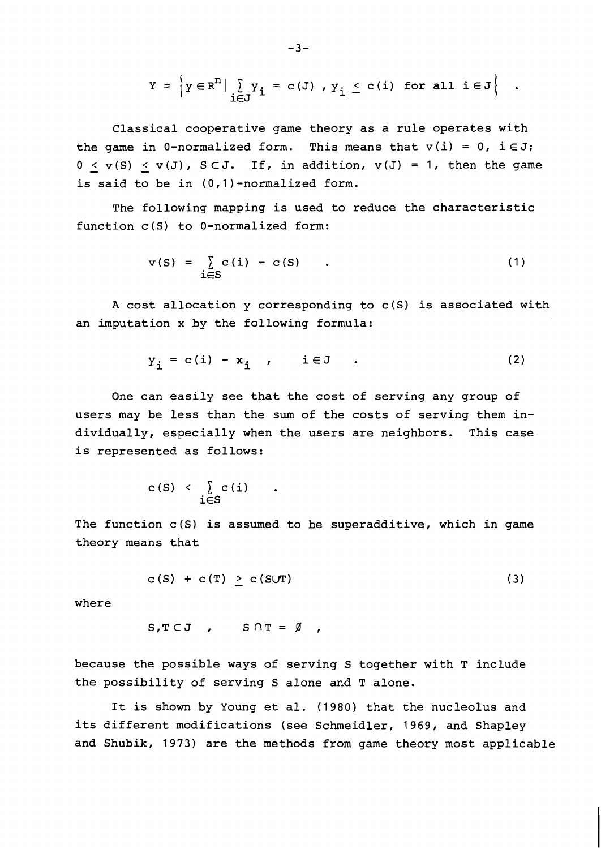$$
Y = \left\{ y \in R^n \middle| \bigcup_{i \in J} Y_i = c(J) \middle| y_i \le c(i) \text{ for all } i \in J \right\} .
$$

Classical cooperative game theory as a rule operates with the game in 0-normalized form. This means that  $v(i) = 0$ ,  $i \in J$ ;  $0 \lt v(S) \lt v(J)$ ,  $S \subset J$ . If, in addition,  $v(J) = 1$ , then the game is said to be in (0,l)-normalized form.

The following mapping is used to reduce the characteristic function c(S) to 0-normalized form:

$$
v(S) = \sum_{i \in S} c(i) - c(S) \qquad . \tag{1}
$$

A cost allocation y corresponding to c(S) is associated with an imputation x by the following formula:

$$
y_i = c(i) - x_i, \qquad i \in J \qquad . \tag{2}
$$

One can easily see that the cost of serving any group of users may be less than the sum of the costs of serving them individually, especially when the users are neighbors. This case is represented as follows:

$$
c(S) < \sum_{i \in S} c(i)
$$

The function  $c(S)$  is assumed to be superadditive, which in game theory means that

$$
c(S) + c(T) \geq c(SUT) \tag{3}
$$

where

$$
S, T \subset J \quad , \qquad S \cap T = \emptyset \quad ,
$$

because the possible ways of serving S together with T include the possibility of serving S alone and T alone.

It is shown by Young et al. (1980) that the nucleolus and its different modifications (see Schmeidler, 1969, and Shapley and Shubik, 1973) are the methods from game theory most applicable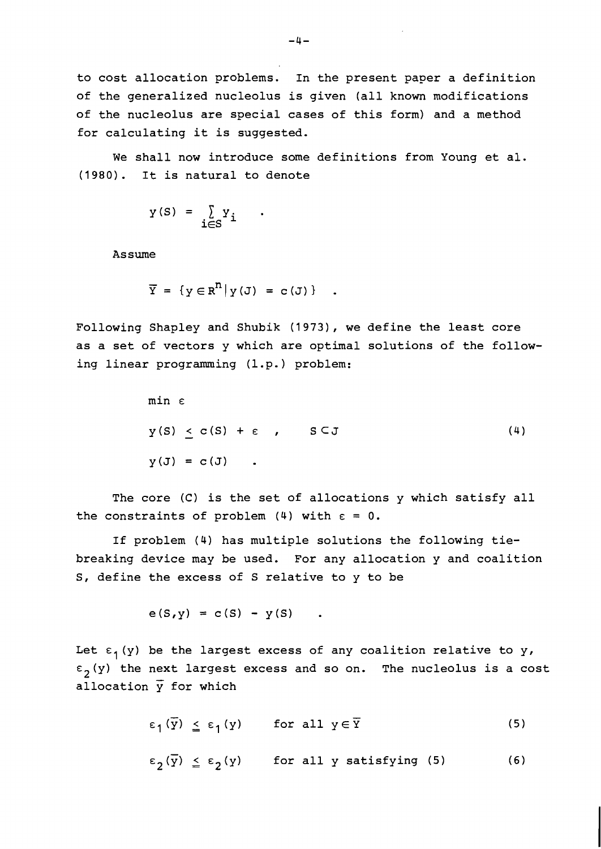to cost allocation problems. In the present paper a definition of the generalized nucleolus is given (all known modifications of the nucleolus are special cases of this form) and a method for calculating it is suggested.

We shall now introduce some definitions from Young et al. (1980). It is natural to denote

$$
y(S) = \sum_{i \in S} Y_i
$$

Assume

$$
\overline{Y} = \{ y \in R^{n} | y(\mathbf{J}) = c(\mathbf{J}) \} .
$$

Following Shapley and Shubik (1973), we define the least core as a set of vectors y which are optimal solutions of the following linear programming (1.p.) problem:

$$
\min \varepsilon
$$
\n
$$
y(S) \leq c(S) + \varepsilon, \quad S \subset J
$$
\n
$$
y(J) = c(J) .
$$
\n(4)

The core **(C)** is the set of allocations y which satisfy all the constraints of problem (4) with  $\varepsilon = 0$ .

If problem (4) has multiple solutions the following tiebreaking device may be used. For any allocation y and coalition S, define the excess of S relative to y to be

$$
e(S, y) = c(S) - y(S)
$$

Let  $\epsilon_1$  (y) be the largest excess of any coalition relative to y,  $\varepsilon$ <sub>2</sub>(y) the next largest excess and so on. The nucleolus is a cost allocation *y* for which

> $\overline{u}$  $\varepsilon_1(\overline{y}) \leq \varepsilon_1(y)$  for all  $y \in \overline{Y}$  $(5)$

$$
\varepsilon_{\mathfrak{Z}}(\overline{y}) \leq \varepsilon_{\mathfrak{Z}}(y) \qquad \text{for all } y \text{ satisfying (5) } \qquad (6)
$$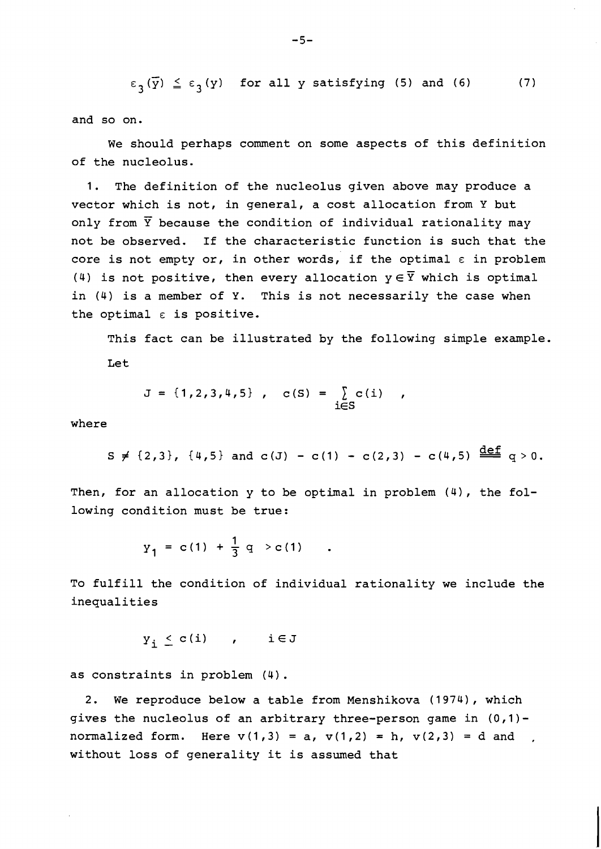$\overline{v}$  $\epsilon_{3}(\overline{y}) \leq \epsilon_{3}(y)$  for all y satisfying (5) and (6) (7)

and so on.

We should perhaps comment on some aspects of this definition of the nucleolus.

1. The definition of the nucleolus given above may produce a vector which is not, in general, a cost allocation from Y but only from  $\overline{Y}$  because the condition of individual rationality may not be observed. If the characteristic function is such that the core is not empty or, in other words, if the optimal  $\varepsilon$  in problem (4) is not positive, then every allocation  $y \in \overline{Y}$  which is optimal in (4) is a member of Y. This is not necessarily the case when the optimal  $\varepsilon$  is positive.

This fact can be illustrated by the following simple example. Let

$$
J = \{1, 2, 3, 4, 5\}, \quad c(S) = \sum_{i \in S} c(i) ,
$$

where

$$
\text{is } f \{2,3\}, \{4,5\} \text{ and } c(J) - c(1) - c(2,3) - c(4,5) \stackrel{\text{def}}{=} q > 0.
$$

Then, for an allocation  $y$  to be optimal in problem  $(4)$ , the following condition must be true:

$$
y_1 = c(1) + \frac{1}{3} q > c(1)
$$

To fulfill the condition of individual rationality we include the inequalities

$$
y_i \leq c(i) \qquad , \qquad i \in J
$$

as constraints in problem (4) .

2. We reproduce below a table from Menshikova (1974), which gives the nucleolus of an arbitrary three-person game in  $(0,1)$ normalized form. Here  $v(1,3) = a$ ,  $v(1,2) = h$ ,  $v(2,3) = d$  and , without loss of generality it is assumed that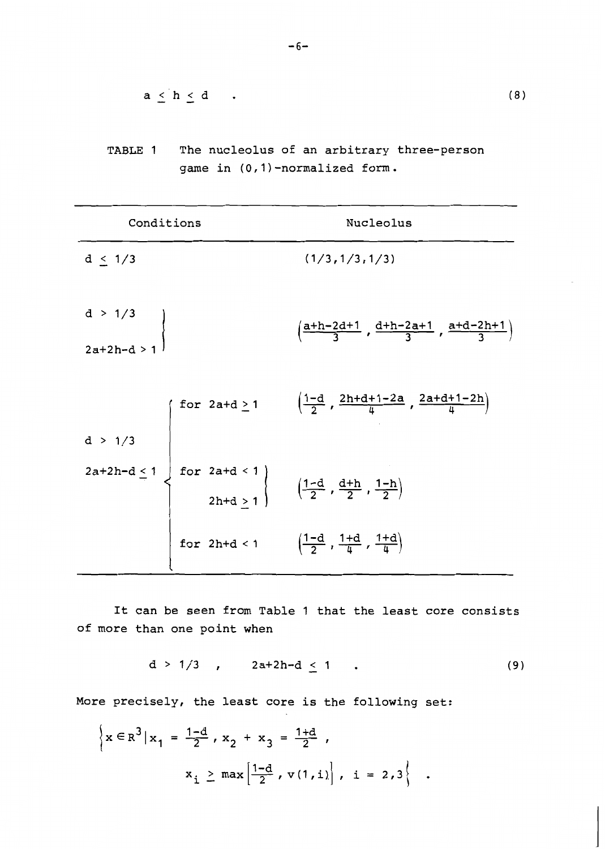$$
a \leq h \leq d \qquad . \tag{8}
$$

TABLE 1 The nucleolus of an arbitrary three-person game in (0,l) -normalized form.

| Conditions                 | Nucleolus                                                                                                                                                                                                                                                                                                                                                                 |
|----------------------------|---------------------------------------------------------------------------------------------------------------------------------------------------------------------------------------------------------------------------------------------------------------------------------------------------------------------------------------------------------------------------|
| $d \leq 1/3$               | (1/3, 1/3, 1/3)                                                                                                                                                                                                                                                                                                                                                           |
| $d > 1/3$<br>$2a+2h-d > 1$ | $\left(\frac{a+h-2d+1}{3}, \frac{d+h-2a+1}{3}, \frac{a+d-2h+1}{3}\right)$                                                                                                                                                                                                                                                                                                 |
|                            |                                                                                                                                                                                                                                                                                                                                                                           |
|                            | d > 1/3<br><br>$2a+2h-d \le 1$<br>$\left\{\n\begin{array}{ccc}\n\text{for } 2a+d \ge 1 & \left(\frac{1-d}{2}, \frac{2h+d+1-2a}{4}, \frac{2a+d+1-2h}{4}\right) \\ \text{for } 2a+d < 1 \\ 2h+d \ge 1 & \left(\frac{1-d}{2}, \frac{d+h}{2}, \frac{1-h}{2}\right) \\ \text{for } 2h+d < 1 & \left(\frac{1-d}{2}, \frac{1+d}{4}, \frac{1+d}{4}\right)\n\end{array}\n\right\}$ |
|                            |                                                                                                                                                                                                                                                                                                                                                                           |

It can be seen from Table 1 that the least core consists of more than one point when

$$
d > 1/3 \t , \t 2a+2h-d \leq 1 \t . \t (9)
$$

More precisely, the least core is the following set:

$$
\left\{ x \in \mathbb{R}^3 | x_1 = \frac{1-d}{2}, x_2 + x_3 = \frac{1+d}{2},
$$
  

$$
x_i \ge \max \left[ \frac{1-d}{2}, v(1, i) \right], i = 2, 3 \right\}.
$$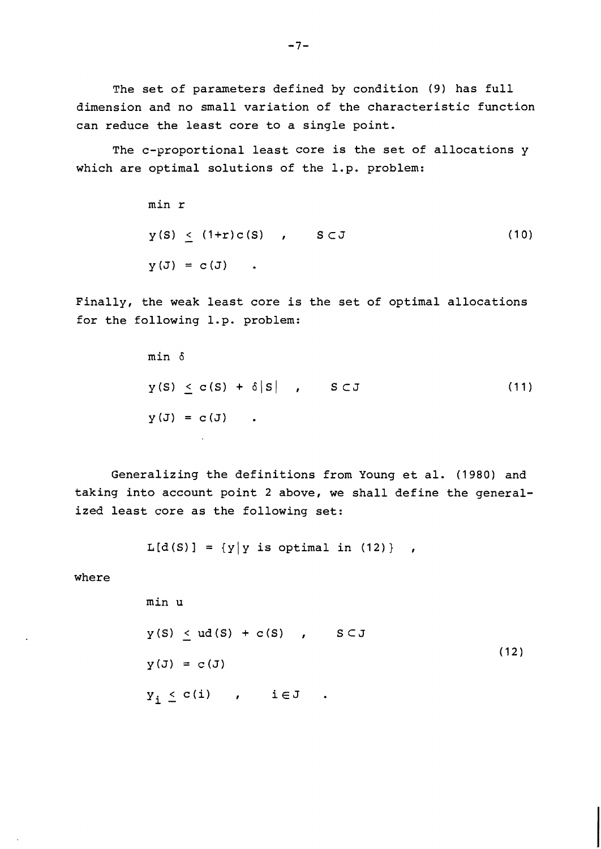The set of parameters defined by condition (9) has full dimension and no small variation of the characteristic function can reduce the least core to a single point.

The c-proportional least core is the set of allocations y which are optimal solutions of the 1.p. problem:

> min r  $y(S)$  < (1+r)c(S) ,  $S \subset J$  $(10)$  $y(J) = c(J)$ .

Finally, the weak least core is the set of optimal allocations for the following 1.p. problem:

min 
$$
\delta
$$
  
\n $y(S) \leq c(S) + \delta |S|$ ,  $S \subset J$  (11)  
\n $y(J) = c(J)$ .

Generalizing the definitions from Young et al. (1980) and taking into account point 2 above, we shall define the generalized least core as the following set:

 $L[d(S)] = {y|y \text{ is optimal in (12)}}$ 

where

min u  
\n
$$
y(S) \leq ud(S) + c(S) , S \subset J
$$
\n
$$
y(J) = c(J)
$$
\n
$$
Y_{i} \leq c(i) , i \in J .
$$
\n(12)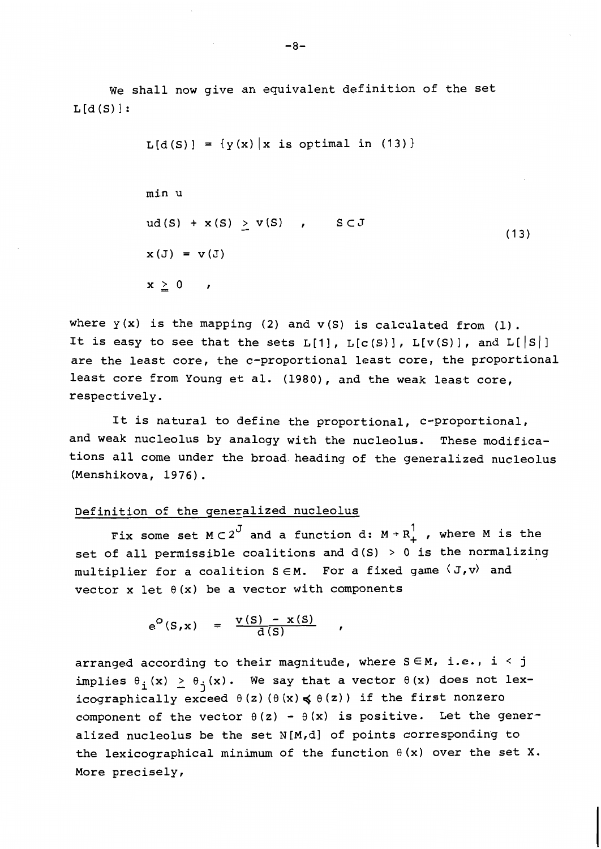We shall now give an equivalent definition of the set  $L[d(S)]$ :

$$
L[d(S)] = \{y(x) | x \text{ is optimal in (13)}\}
$$
\nmin u

\n
$$
ud(S) + x(S) \ge v(S) \qquad S \subset J
$$
\n
$$
x(J) = v(J)
$$
\n
$$
x \ge 0 \qquad .
$$
\n(13)

where  $y(x)$  is the mapping (2) and  $v(S)$  is calculated from (1). It is easy to see that the sets  $L[1]$ ,  $L[c(S)]$ ,  $L[v(S)]$ , and  $L[|S|]$ are the least core, the c-proportional least core, the proportional least core from Young et al. (1980), and the weak least core, respectively.

It is natural to define the proportional, c-proportional, and weak nucleolus by analogy with the nucleolus. These modifications all come under the broad-heading of the generalized nucleolus (Menshikova, 1976) .

# Definition of the generalized nucleolus

Fix some set  $M \subset 2^J$  and a function d:  $M \to R_+^1$  , where M is the set of all permissible coalitions and  $d(S) > 0$  is the normalizing multiplier for a coalition  $S \in M$ . For a fixed game  $\langle J, v \rangle$  and vector x let  $\theta(x)$  be a vector with components

 $\pmb{\cdot}$ 

$$
e^{O}(S,x) = \frac{v(S) - x(S)}{d(S)}
$$

arranged according to their magnitude, where  $S \in M$ , i.e., i < j implies  $\theta_i(x) \ge \theta_j(x)$ . We say that a vector  $\theta(x)$  does not lexicographically exceed  $\theta(z)$  ( $\theta(x) \le \theta(z)$ ) if the first nonzero component of the vector  $\theta(z) - \theta(x)$  is positive. Let the generalized nucleolus be the set N[M,d] of points corresponding to the lexicographical minimum of the function  $\theta(x)$  over the set X. More precisely,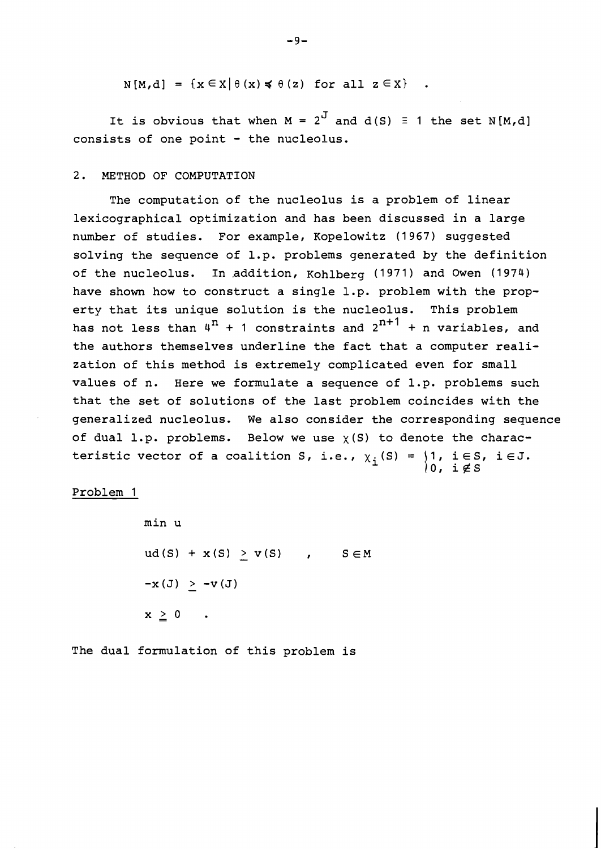$N[M,d] = \{x \in X | \theta(x) \leq \theta(z) \text{ for all } z \in X\}$ .

It is obvious that when  $M = 2^J$  and  $d(S) \equiv 1$  the set N[M,d] consists of one point - the nucleolus.

## 2. METHOD OF COMPUTATION

The computation of the nucleolus is a problem of linear lexicographical optimization and has been discussed in a large number of studies. For example, Kopelowitz (1967) suggested solving the sequence of 1.p. problems generated by the definition of the nucleolus. In addition, Kohlberg (1971) and Owen (1974) have shown how to construct a single 1.p. problem with the property that its unique solution is the nucleolus. This problem has not less than  $4^n + 1$  constraints and  $2^{n+1} + n$  variables, and the authors themselves underline the fact that a computer realization of this method is extremely complicated even for small values of n. Here we formulate a sequence of 1.p. problems such that the set of solutions of the last problem coincides with the generalized nucleolus. We also consider the corresponding sequence of dual 1.p. problems. Below we use  $\chi(S)$  to denote the characteristic vector of a coalition S, i.e.,  $\chi_i(S) = \{1, i \in S, i \in J.\}$ 0, i $\not\in$  S

Problem 1

min u  $ud(S) + x(S) > v(S)$ ,  $S \in M$  $-x(J) > -v(J)$  $x \geq 0$ 

The dual formulation of this problem is

 $-9-$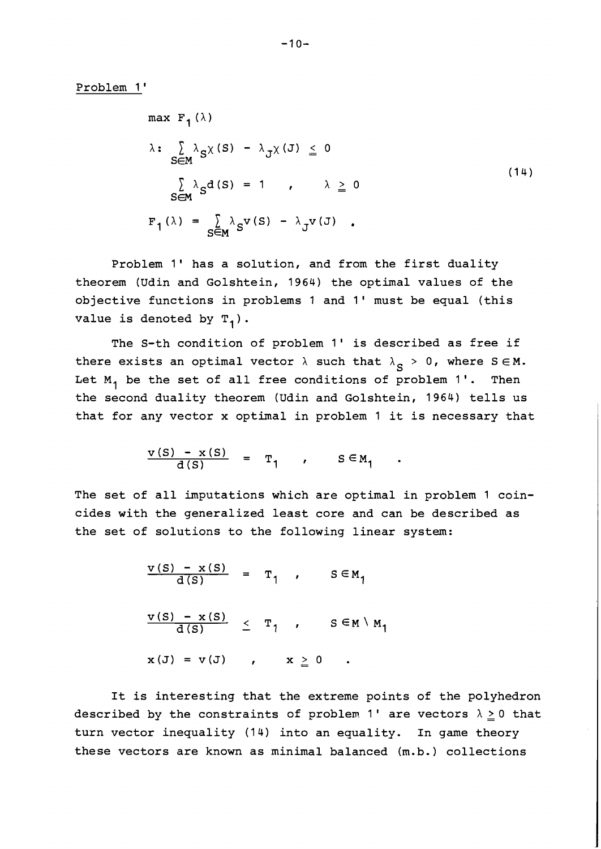Problem 1 '

$$
\max F_{1}(\lambda)
$$
\n
$$
\lambda: \sum_{S \in M} \lambda_{S} \chi(S) - \lambda_{J} \chi(J) \leq 0
$$
\n
$$
\sum_{S \in M} \lambda_{S} d(S) = 1, \quad \lambda \geq 0
$$
\n
$$
F_{1}(\lambda) = \sum_{S \in M} \lambda_{S} v(S) - \lambda_{J} v(J).
$$
\n(14)

Problem 1' has a solution, and from the first duality theorem (Udin and Golshtein, 1964) the optimal values of the objective functions in problems 1 and 1' must be equal (this value is denoted by  $T_1$ ).

The S-th condition of problem 1' is described as free if there exists an optimal vector  $\lambda$  such that  $\lambda_S > 0$ , where  $S \in M$ . Let  $M_1$  be the set of all free conditions of problem 1'. Then the second duality theorem (Udin and Golshtein, 1964) tells us that for any vector x optimal in problem 1 it is necessary that

$$
\frac{v(s) - x(s)}{d(s)} = T_1, \qquad s \in M_1
$$

The set of all imputations which are optimal in problem 1 coincides with the generalized least core and can be described as the set of solutions to the following linear system:

$$
\frac{v(s) - x(s)}{d(s)} = T_1, \quad s \in M_1
$$
  

$$
\frac{v(s) - x(s)}{d(s)} \le T_1, \quad s \in M \setminus M_1
$$
  

$$
x(J) = v(J), \quad x > 0.
$$

It is interesting that the extreme points of the polyhedron described by the constraints of problem 1' are vectors  $\lambda \geq 0$  that turn vector inequality (14) into an equality. In game theory these vectors are known as minimal balanced (m.b.) collections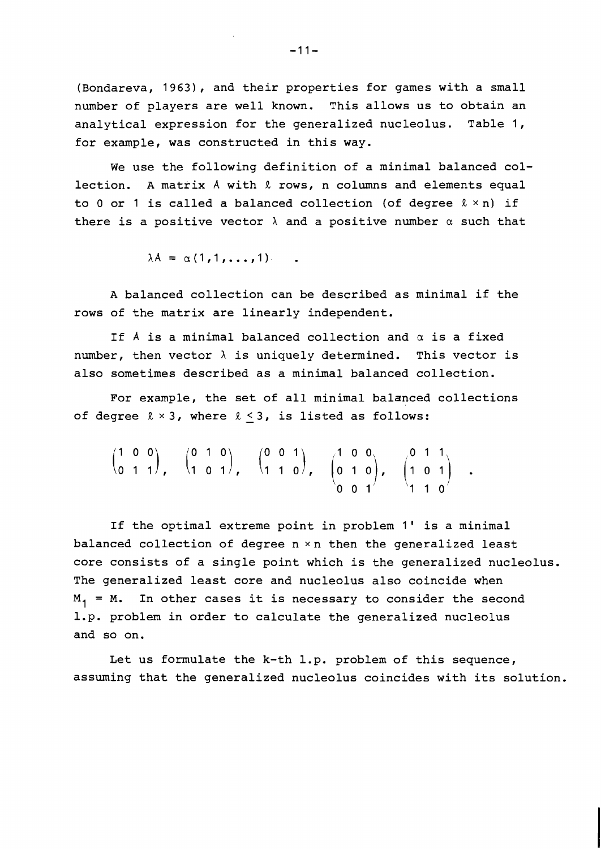(Bondareva, 1963), and their properties for games with a small number of players are well known. This allows us to obtain an analytical expression for the generalized nucleolus. Table 1, for example, was constructed in this way.

We use the following definition of a minimal balanced collection. A matrix A with & rows, n columns and elements equal to 0 or 1 is called a balanced collection (of degree **R** xn) if there is a positive vector  $\lambda$  and a positive number  $\alpha$  such that

 $\lambda A = \alpha (1, 1, \ldots, 1)$ .

A balanced collection can be described as minimal if the rows of the matrix are linearly independent.

If **A** is a minimal balanced collection and a is a fixed number, then vector  $\lambda$  is uniquely determined. This vector is also sometimes described as a minimal balanced collection.

For example, the set of all minimal balanced collections of degree  $l \times 3$ , where  $l \leq 3$ , is listed as follows:

$$
\begin{pmatrix} 1 & 0 & 0 \ 0 & 1 & 1 \end{pmatrix}, \quad \begin{pmatrix} 0 & 1 & 0 \ 1 & 0 & 1 \end{pmatrix}, \quad \begin{pmatrix} 0 & 0 & 1 \ 1 & 1 & 0 \end{pmatrix}, \quad \begin{pmatrix} 1 & 0 & 0 \ 0 & 1 & 0 \ 0 & 0 & 1 \end{pmatrix}, \quad \begin{pmatrix} 0 & 1 & 1 \ 1 & 0 & 1 \ 1 & 1 & 0 \end{pmatrix}.
$$

If the optimal extreme point in problem 1' is a minimal balanced collection of degree n xn then the generalized least core consists of a single point which is the generalized nucleolus. The generalized least core and nucleolus also coincide when  $M_1$  = M. In other cases it is necessary to consider the second 1.p. problem in order to calculate the generalized nucleolus and so on.

Let us formulate the k-th 1.p. problem of this sequence, assuming that the generalized nucleolus coincides with its solution.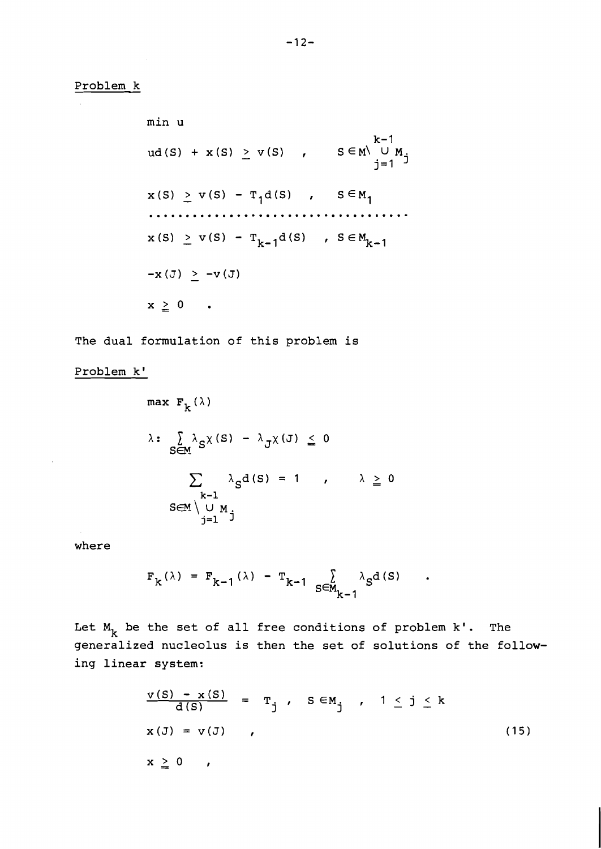**min u k-** 1  $ud(S) + x(S) \ge v(S)$ ,  $S \in M \cup M_j$ <br>  $j=1$  $x(S) \ge v(S) - T_1 d(S)$ ,  $S \in M_1$ . . . . . . . . . . . . . . .  $\ddotsc$  $x(S) \ge v(S) - T_{k-1}d(S)$ ,  $S \in M_{k-1}$  $-x(J) > -v(J)$  $x \geq 0$  .

**The dual formulation of this problem is** 

**Problem k'** 

$$
\max F_{k}(\lambda)
$$
\n
$$
\lambda: \sum_{S \in M} \lambda_{S} \chi(S) - \lambda_{J} \chi(J) \leq 0
$$
\n
$$
\sum_{\substack{k-1 \\ j=1}} \lambda_{S} d(S) = 1, \quad \lambda \geq 0
$$

**where** 

$$
F_k(\lambda) = F_{k-1}(\lambda) - T_{k-1} \sum_{S \in M_{k-1}} \lambda_S d(S)
$$

Let  $M_k$  be the set of all free conditions of problem k'. The **generalized nucleolus is then the set of solutions of the following linear system:** 

$$
\frac{v(S) - x(S)}{d(S)} = T_j, \quad S \in M_j, \quad 1 \le j \le k
$$
  

$$
x(J) = v(J), \quad , \quad (15)
$$
  

$$
x \ge 0, \quad , \quad (16)
$$

 $\bullet$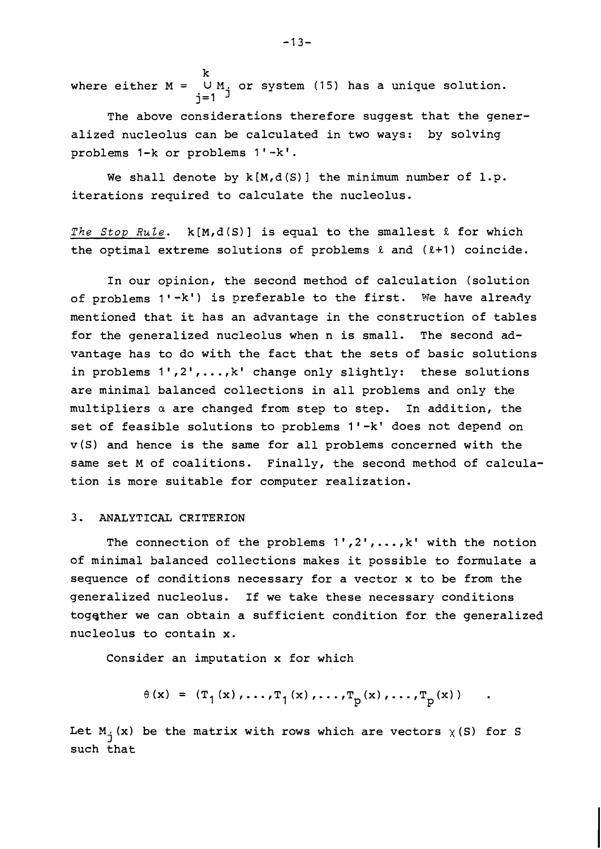k where either  $M = \bigcup_{i=1}^n M_i$  or system (15) has a unique solution. j=1  $\overline{3}$ 

The above considerations therefore suggest that the generalized nucleolus can be calculated in two ways: by solving problems 1-k or problems 1'-k'.

We shall denote by  $k[M,d(S)]$  the minimum number of  $l.p.$ iterations required to calculate the nucleolus.

The Stop Rule.  $k[M,d(S)]$  is equal to the smallest  $\ell$  for which the optimal extreme solutions of problems  $\ell$  and  $(\ell+1)$  coincide.

In our opinion, the second method of calculation (solution of problems 1'-k') is preferable to the first. We have already mentioned that it has an advantage in the construction of tables for the generalized nucleolus when n is small. The second advantage has to do with the fact that the sets of basic solutions in problems  $1', 2', ..., k'$  change only slightly: these solutions are minimal balanced collections in all problems and only the multipliers a are changed from step to step. In addition, the set of feasible solutions to problems 1'-k' does not depend on v(S) and hence is the same for all problems concerned with the same set M of coalitions. Finally, the second method of calculation is more suitable for computer realization.

# 3. ANALYTICAL CRITERION

The connection of the problems  $1', 2', \ldots, k'$  with the notion of minimal balanced collections makes it possible to formulate a sequence of conditions necessary for a vector x to be from the generalized nucleolus. If we take these necessary conditions together we can obtain a sufficient condition for the generalized nucleolus to contain x.

Consider an imputation x for which

$$
\theta(x) = (T_1(x), \dots, T_1(x), \dots, T_p(x), \dots, T_p(x))
$$

Let  $M_i(x)$  be the matrix with rows which are vectors  $\chi(S)$  for S such that

 $-13-$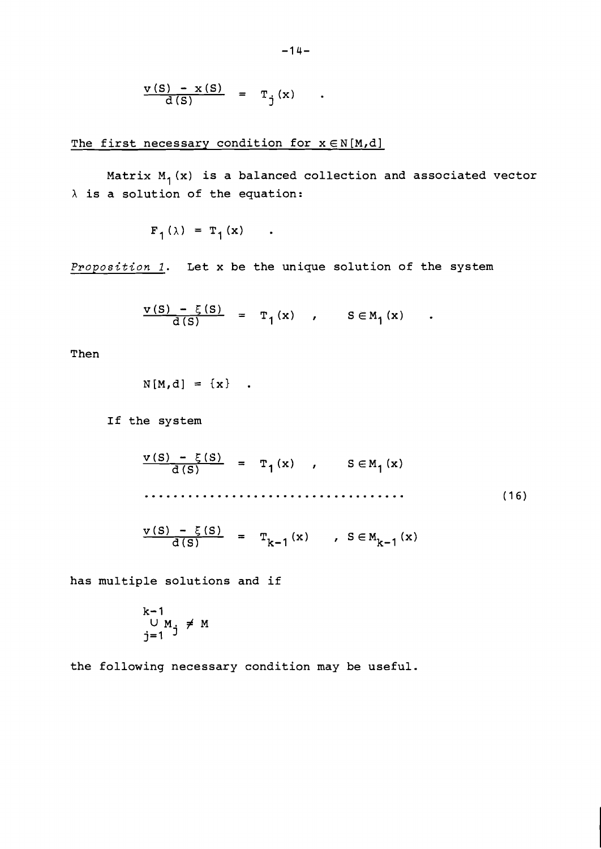$$
\frac{v(S) - x(S)}{d(S)} = T_j(x) .
$$

The first necessary condition for *x* ∈N[M,d]

Matrix M<sub>1</sub>(x) is a balanced collection and associated vector  $\lambda$  is a solution of the equation:

 $F_1(\lambda) = T_1(x)$ .

**Proposition** *I.* **Let x be the unique solution of the system** 

$$
\frac{v(s) - \xi(s)}{d(s)} = T_1(x) , \qquad s \in M_1(x)
$$

**Then** 

$$
N[M,d] = \{x\} .
$$

**If the system** 

**has multiple solutions and if** 

$$
k-1
$$
  
U M<sub>j</sub>  $\neq$  M  
 $j=1$ 

**the following necessary condition may be useful.**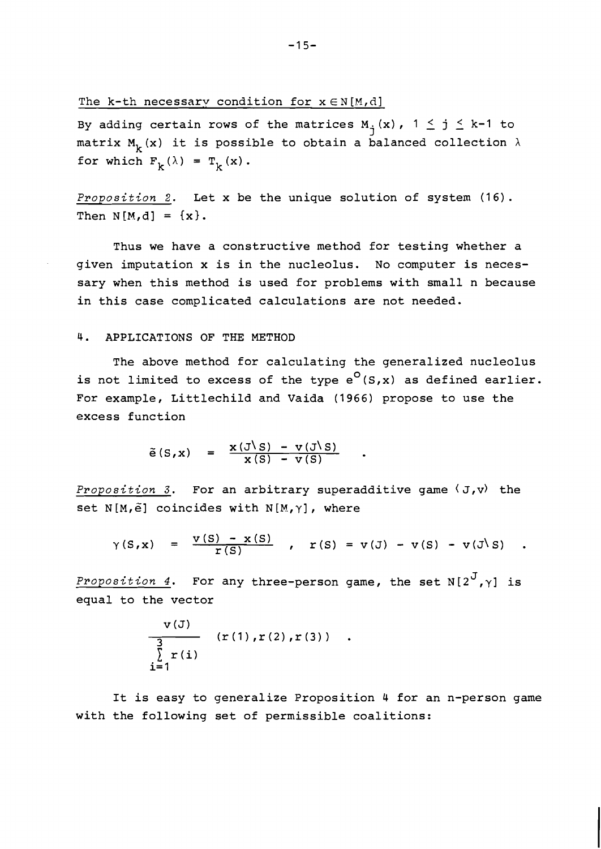The k-th necessary condition for  $x \in N[M,d]$ 

By adding certain rows of the matrices  $M_i(x)$ ,  $1 \leq j \leq k-1$  to matrix  $M_k(x)$  it is possible to obtain a balanced collection  $\lambda$ for which  $F_k(\lambda) = T_k(x)$ .

Proposition 2. Let x be the unique solution of system (16). Then  $N[M,d] = \{x\}.$ 

Thus we have a constructive method for testing whether a given imputation x is in the nucleolus. No computer is necessary when this method is used for problems with small n because in this case complicated calculations are not needed.

#### 4. APPLICATIONS OF THE METHOD

 $\sim$   $\sim$ 

The above method for calculating the generalized nucleolus is not limited to excess of the type  $e^{O}(S,x)$  as defined earlier. For example, Littlechild and Vaida (1966) propose to use the excess function

$$
\tilde{e}(S,x) = \frac{x(J\setminus S) - v(J\setminus S)}{x(S) - v(S)}
$$

Proposition 3. For an arbitrary superadditive game  $\langle J, v \rangle$  the set N[M, $\tilde{e}$ ] coincides with N[M, $\gamma$ ], where

$$
\gamma(S,x) = \frac{\nu(S) - x(S)}{r(S)}, \quad r(S) = v(J) - v(S) - v(J\ S).
$$

Proposition 4. For any three-person game, the set  $N[2^J,\gamma]$  is equal to the vector

$$
\frac{v(J)}{\sum_{i=1}^{3} r(i)} (r(1), r(2), r(3))
$$

It is easy to generalize Proposition 4 for an n-person game with the following set of permissible coalitions: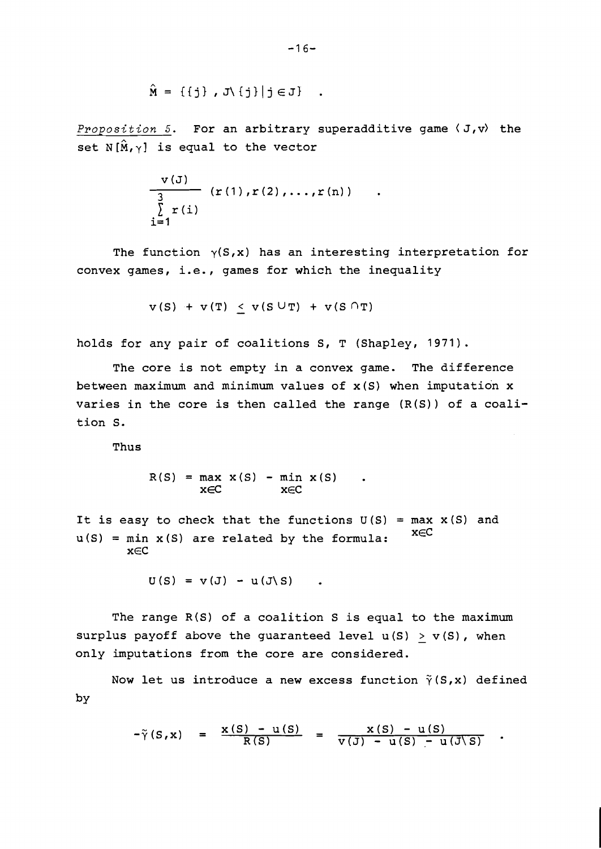$$
\{L \ni j \mid \{j\} \land L \quad , \{j\} \} = \hat{M}
$$

Proposition 5. For an arbitrary superadditive game  $\langle J, v \rangle$  the set N $[\hat{M}, \gamma]$  is equal to the vector

$$
\frac{v(J)}{\sum_{i=1}^{3} r(i)} (r(1), r(2), \ldots, r(n))
$$

The function  $\gamma(S, x)$  has an interesting interpretation for convex games, i.e., games for which the inequality

 $v(S) + v(T) < v(S \cup T) + v(S \cap T)$ 

holds for any pair of coalitions S, T (Shapley, 1971).

The core is not empty in a convex game. The difference between maximum and minimum values of  $x(S)$  when imputation  $x$ varies in the core is then called the range (R(S)) of a coalition S.

Thus

 $R(S) = \max_{x \in C} x(S) - \min_{x \in C} x(S)$ .

It is easy to check that the functions  $U(S) = max X(S)$  and  $u(S) = min x(S)$  are related by the formula:  $x \in C$ xEC

$$
U(S) = V(J) - U(J\setminus S) \qquad .
$$

The range R(S) of a coalition S is equal to the maximum surplus payoff above the guaranteed level  $u(S) > v(S)$ , when only imputations from the core are considered.

Now let us introduce a new excess function  $\tilde{\gamma}(S,x)$  defined by

$$
-\tilde{\gamma}(S,x) = \frac{x(S) - u(S)}{R(S)} = \frac{x(S) - u(S)}{v(J) - u(S) - u(J \setminus S)}
$$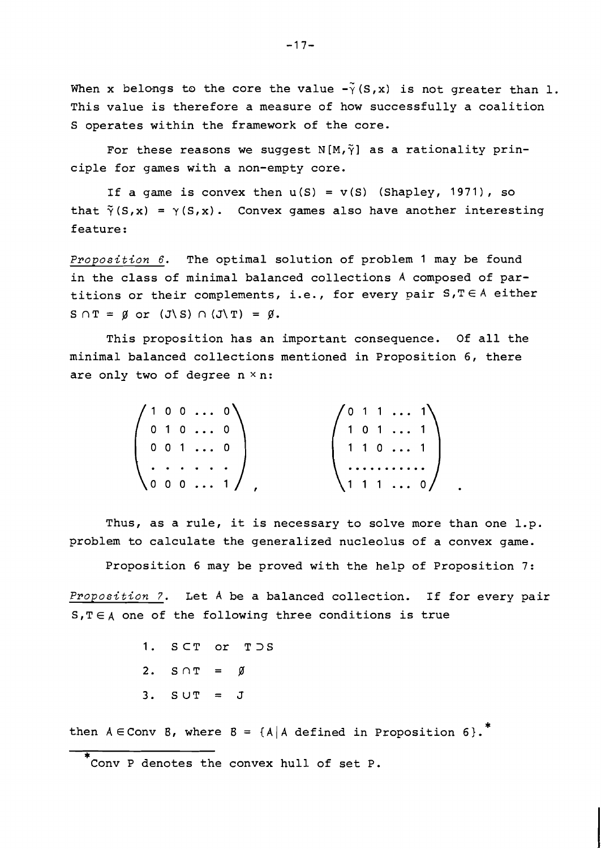When x belongs to the core the value  $-\tilde{\gamma}(S,x)$  is not greater than 1. This value is therefore a measure of how successfully a coalition S operates within the framework of the core.

For these reasons we suggest  $N(M,\tilde{\gamma})$  as a rationality principle for games with a non-empty core.

If a game is convex then  $u(S) = v(S)$  (Shapley, 1971), so that  $\tilde{\gamma}(S,x) = \gamma(S,x)$ . Convex games also have another interesting feature:

**Proposition 6.** The optimal solution of problem 1 may be found in the class of minimal balanced collections A composed of partitions or their complements, i.e., for every pair **S,T€A** either  $S \cap T = \emptyset$  or  $(J \setminus S) \cap (J \setminus T) = \emptyset$ .

This proposition has an important consequence. Of all the minimal balanced collections mentioned in Proposition 6, there are only two of degree  $n \times n$ :

| $(1\;0\;0\; \ldots\;0)$ | $\sqrt{0}$ 1 1  1  |
|-------------------------|--------------------|
| 0 1 0  0                | $1 \t0 \t1 \t \t1$ |
| $0 \t0 \t1 \t \t0$      | 1 1 0  1           |
| . 1                     |                    |
| <b>\0001/</b>           | $(1\;1\;1\; \;0)$  |

Thus, as a rule, it is necessary to solve more than one l.p. problem to calculate the generalized nucleolus of a convex game.

Proposition 6 may be proved with the help of Proposition 7:

**Proposition 7.** Let A be a balanced collection. If for every pair  $S, T \in A$  one of the following three conditions is true

> 1. SCT or T>S 2.  $S \cap T = \emptyset$  $3.$  SUT =  $J$

then  $A \in Conv$  8, where  $B = \{A \mid A \text{ defined in Proposition 6}\}.$ 

<sup>\*</sup>  Conv P denotes the convex hull of set P.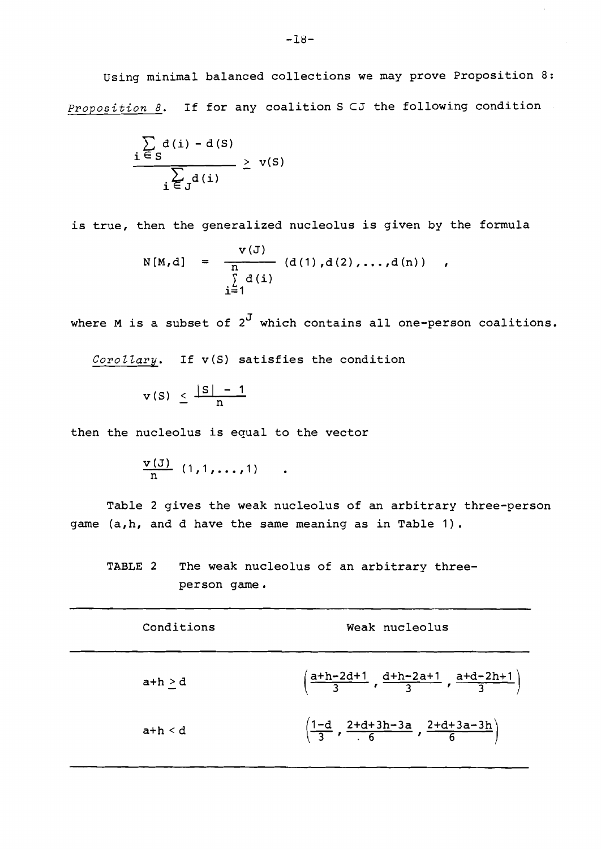Using minimal balanced collections we may prove Proposition 8: **Proposition 8.** If for any coalition S CJ the following condition

$$
\frac{\sum_{i \in S} d(i) - d(S)}{\sum_{i \in J} d(i)} \geq v(S)
$$

is true, then the generalized nucleolus is given by the formula

$$
N[M,d] = \frac{V(J)}{n} (d(1),d(2),...,d(n)) ,
$$
  

$$
\sum_{i=1}^{N} d(i)
$$

where M is a subset of  $2^J$  which contains all one-person coalitions.

Corollary. If v(S) satisfies the condition

$$
v(S) \leq \frac{|S|-1}{n}
$$

then the nucleolus is equal to the vector

$$
\frac{v(J)}{n} (1,1,\ldots,1) \qquad .
$$

Table 2 gives the weak nucleolus of an arbitrary three-person game (a,h, and d have the same meaning as in Table 1).

TABLE 2 The weak nucleolus of an arbitrary threeperson game.

| Conditions   | Weak nucleolus                                                            |
|--------------|---------------------------------------------------------------------------|
| $a+h > d$    | $\left(\frac{a+h-2d+1}{3}, \frac{d+h-2a+1}{3}, \frac{a+d-2h+1}{3}\right)$ |
| $a+h \leq d$ | $\left(\frac{1-d}{3}, \frac{2+d+3h-3a}{6}, \frac{2+d+3a-3h}{6}\right)$    |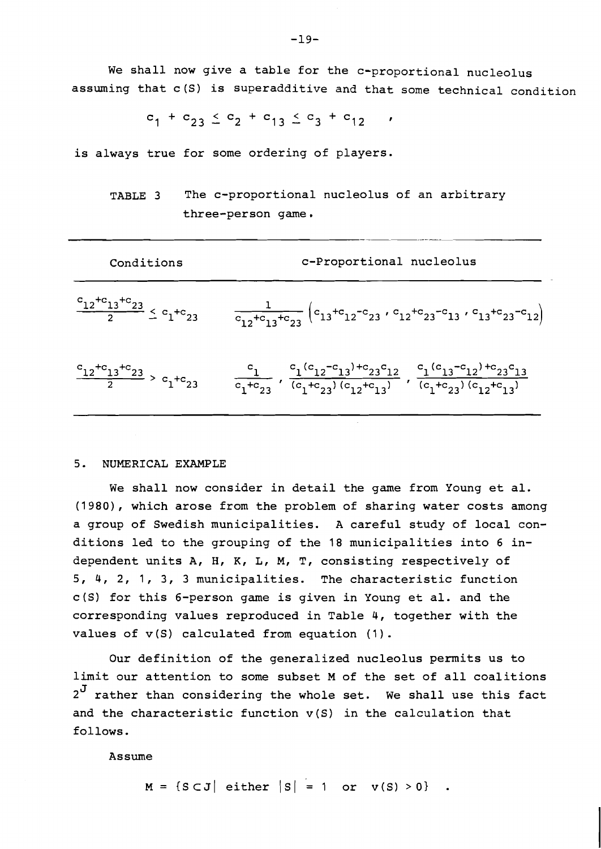We shall now give a table for the c-proportional nucleolus assuming that c(S) is superadditive and that some technical condition

 $c_1 + c_{23} \leq c_2 + c_{13} \leq c_3 + c_{12}$ 

is always true for some ordering of players.

TABLE 3 The c-proportional nucleolus of an arbitrary three-person game.

$$
\frac{c_{12} + c_{13} + c_{23}}{2} \leq c_1 + c_{23}
$$
\n
$$
\frac{1}{c_{12} + c_{13} + c_{23}} \left( c_{13} + c_{12} - c_{23} \cdot c_{12} + c_{23} - c_{13} \cdot c_{13} + c_{23} - c_{12} \right)
$$
\n
$$
\frac{c_{12} + c_{13} + c_{23}}{2} > c_1 + c_{23}
$$
\n
$$
\frac{c_1}{c_1 + c_{23}} \cdot \frac{c_1 (c_{12} - c_{13}) + c_{23} c_{12}}{(c_1 + c_{23}) (c_{12} + c_{13})} \cdot \frac{c_1 (c_{13} - c_{12}) + c_{23} c_{13}}{(c_1 + c_{23}) (c_{12} + c_{13})}
$$

## 5. NUMERICAL EXAMPLE

We shall now consider in detail the game from Young et al. (1980), which arose from the problem of sharing water costs among a group of Swedish municipalities. A careful study of local conditions led to the grouping of the 18 municipalities into 6 independent units A, H, K, L, M, T, consisting respectively of 5, 4, 2, 1, 3, 3 municipalities. The characteristic function c(S) for this 6-person game is given in Young et al. and the corresponding values reproduced in Table 4, together with the values of  $v(S)$  calculated from equation  $(1)$ .

Our definition of the generalized nucleolus permits us to limit our attention to some subset M of the set of all coalitions  $2^J$  rather than considering the whole set. We shall use this fact and the characteristic function v(S) in the calculation that follows.

Assume

 $M = \{S \subset J \mid \text{either } |S| = 1 \text{ or } v(S) > 0\}$ .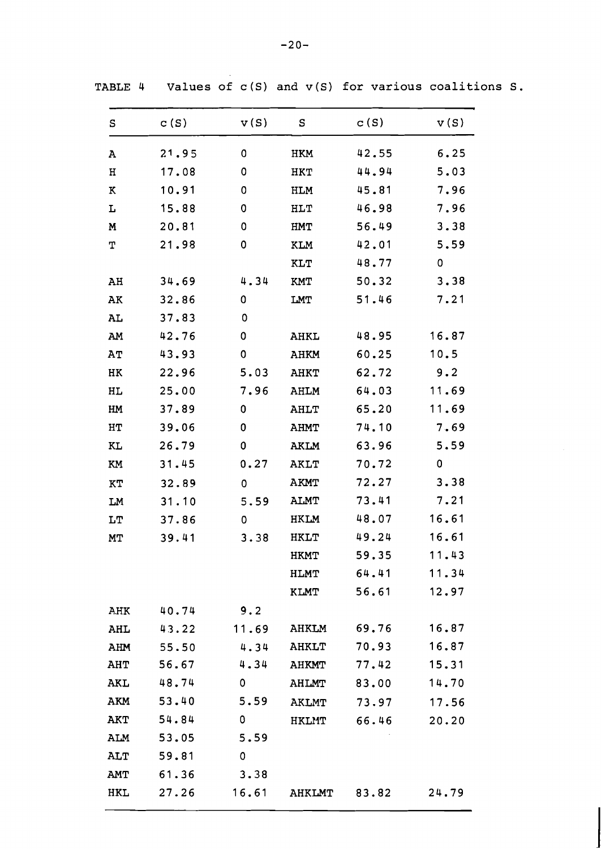|  | -20- |  |
|--|------|--|
|  |      |  |
|  |      |  |
|  |      |  |

| ${\tt S}$  | C(S)  | v(S)  | S             | c(S)  | v(S)  |
|------------|-------|-------|---------------|-------|-------|
| A          | 21.95 | 0     | <b>HKM</b>    | 42.55 | 6.25  |
| н          | 17.08 | 0     | <b>HKT</b>    | 44.94 | 5.03  |
| $\bf K$    | 10.91 | 0     | <b>HLM</b>    | 45.81 | 7.96  |
| L          | 15.88 | 0     | <b>HLT</b>    | 46.98 | 7.96  |
| M          | 20.81 | 0     | <b>HMT</b>    | 56.49 | 3.38  |
| Т          | 21.98 | 0     | <b>KLM</b>    | 42.01 | 5.59  |
|            |       |       | <b>KLT</b>    | 48.77 | 0     |
| AH         | 34.69 | 4.34  | <b>KMT</b>    | 50.32 | 3.38  |
| ${\tt AK}$ | 32.86 | 0     | LMT           | 51.46 | 7.21  |
| AL         | 37.83 | 0     |               |       |       |
| AM         | 42.76 | 0     | AHKL          | 48.95 | 16.87 |
| AT         | 43.93 | 0     | AHKM          | 60.25 | 10.5  |
| $\rm{HK}$  | 22.96 | 5.03  | <b>AHKT</b>   | 62.72 | 9.2   |
| HL         | 25.00 | 7.96  | AHLM          | 64.03 | 11.69 |
| HM         | 37.89 | 0     | <b>AHLT</b>   | 65.20 | 11.69 |
| HT         | 39.06 | 0     | AHMT          | 74.10 | 7.69  |
| KL         | 26.79 | 0     | AKLM          | 63.96 | 5.59  |
| KM         | 31.45 | 0.27  | <b>AKLT</b>   | 70.72 | 0     |
| KT         | 32.89 | 0     | <b>AKMT</b>   | 72.27 | 3.38  |
| LM         | 31.10 | 5.59  | <b>ALMT</b>   | 73.41 | 7.21  |
| LT         | 37.86 | 0     | <b>HKLM</b>   | 48.07 | 16.61 |
| МT         | 39.41 | 3.38  | <b>HKLT</b>   | 49.24 | 16.61 |
|            |       |       | <b>HKMT</b>   | 59.35 | 11.43 |
|            |       |       | <b>HLMT</b>   | 64.41 | 11.34 |
|            |       |       | <b>KLMT</b>   | 56.61 | 12.97 |
| AHK        | 40.74 | 9.2   |               |       |       |
| AHL        | 43.22 | 11.69 | <b>AHKLM</b>  | 69.76 | 16.87 |
| AHM        | 55.50 | 4.34  | <b>AHKLT</b>  | 70.93 | 16.87 |
| AHT        | 56.67 | 4.34  | <b>AHKMT</b>  | 77.42 | 15.31 |
| AKL        | 48.74 | 0     | AHLMT         | 83.00 | 14.70 |
| AKM        | 53.40 | 5.59  | <b>AKLMT</b>  | 73.97 | 17.56 |
| <b>AKT</b> | 54.84 | 0     | <b>HKLMT</b>  | 66.46 | 20.20 |
| ALM        | 53.05 | 5.59  |               |       |       |
| ALT        | 59.81 | 0     |               |       |       |
| AMT        | 61.36 | 3.38  |               |       |       |
| <b>HKL</b> | 27.26 | 16.61 | <b>AHKLMT</b> | 83.82 | 24.79 |

TABLE 4 **Values of c(S) and v(S) for various coalitions S.**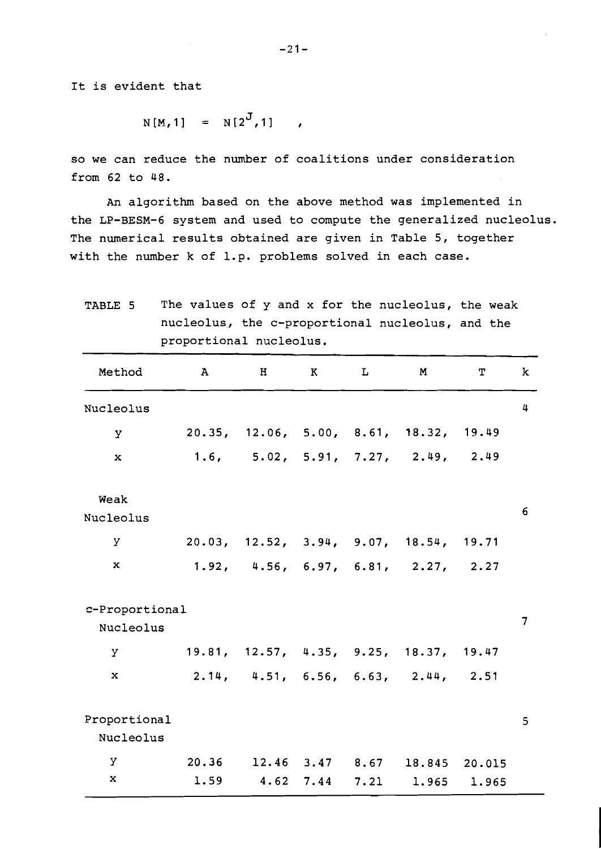It is evident that

$$
N[M, 1] = N[2J, 1]
$$

so we can reduce the number of coalitions under consideration from 62 to 48.

An algorithm based on the above method was implemented in the LP-BESM-6 system and used to compute the generalized nucleolus. The numerical results obtained are given in Table 5, together with the number k of 1.p. problems solved in each case.

TABLE 5 The values of y and x for the nucleolus, the weak

| nucleolus, the c-proportional nucleolus, and the<br>proportional nucleolus. |               |                                        |                       |   |                                |                 |                |
|-----------------------------------------------------------------------------|---------------|----------------------------------------|-----------------------|---|--------------------------------|-----------------|----------------|
| Method                                                                      | $\mathbf{A}$  | H                                      | K                     | L | M                              | $\mathbf T$     | k              |
| Nucleolus                                                                   |               |                                        |                       |   |                                |                 | 4              |
| Y                                                                           |               | 20.35, 12.06, 5.00, 8.61, 18.32, 19.49 |                       |   |                                |                 |                |
| $\mathbf x$                                                                 |               | 1.6, 5.02, 5.91, 7.27, 2.49, 2.49      |                       |   |                                |                 |                |
| Weak<br>Nucleolus                                                           |               |                                        |                       |   |                                |                 | 6              |
| У                                                                           |               | 20.03, 12.52, 3.94, 9.07, 18.54, 19.71 |                       |   |                                |                 |                |
| x                                                                           |               | 1.92, 4.56, 6.97, 6.81, 2.27, 2.27     |                       |   |                                |                 |                |
| c-Proportional<br>Nucleolus                                                 |               |                                        |                       |   |                                |                 | $\overline{7}$ |
| Y.                                                                          |               | 19.81, 12.57, 4.35, 9.25, 18.37, 19.47 |                       |   |                                |                 |                |
| x                                                                           |               | 2.14, 4.51, 6.56, 6.63, 2.44,          |                       |   |                                | 2.51            |                |
| Proportional<br>Nucleolus                                                   |               |                                        |                       |   |                                |                 | 5              |
| У<br>$\bf x$                                                                | 20.36<br>1.59 |                                        | $12.46$ $3.47$ $8.67$ |   | 18.845<br>4.62 7.44 7.21 1.965 | 20.015<br>1.965 |                |

 $-21-$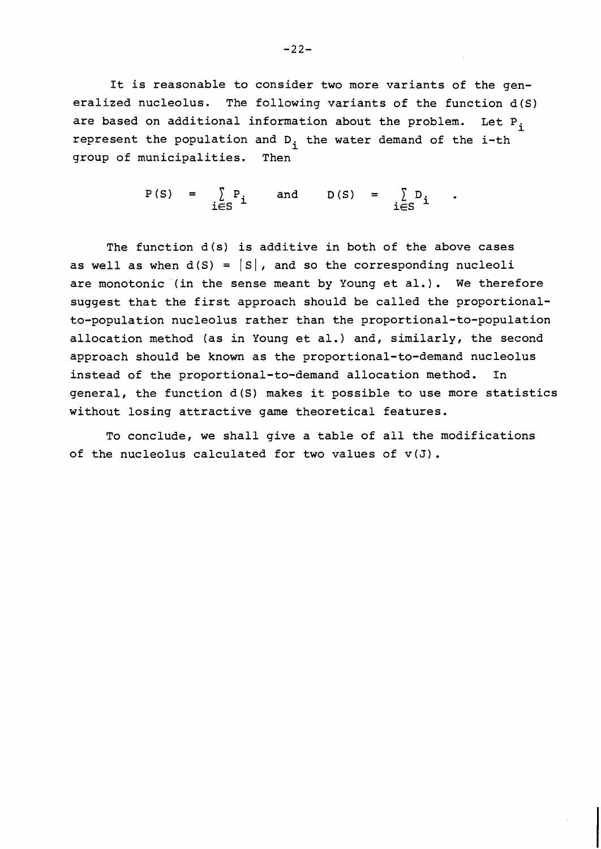It is reasonable to consider two more variants of the generalized nucleolus. The following variants of the function d(S) are based on additional information about the problem. Let  $P_i$ represent the population and  $D_i$  the water demand of the i-th group of municipalities. Then

> $P(S) = \sum P_i$  and  $D(S) = \sum D_i$  $i \in S$   $\overline{S}$   $i \in S$   $\overline{S}$   $\overline{S}$   $\overline{S}$   $\overline{S}$   $\overline{S}$   $\overline{S}$   $\overline{S}$   $\overline{S}$   $\overline{S}$   $\overline{S}$   $\overline{S}$   $\overline{S}$   $\overline{S}$   $\overline{S}$   $\overline{S}$   $\overline{S}$   $\overline{S}$   $\overline{S}$   $\overline{S}$   $\overline{S}$   $\overline{S}$   $\overline{S}$

The function d(s) is additive in both of the above cases as well as when  $d(S) = |S|$ , and so the corresponding nucleoli are monotonic (in the sense meant by Young et al.). We therefore suggest that the first approach should be called the proportionalto-population nucleolus rather than the proportional-to-population allocation method (as in Young et al.) and, similarly, the second approach should be known as the proportional-to-demand nucleolus instead of the proportional-to-demand allocation method. In general, the function d(S) makes it possible to use more statistics without losing attractive game theoretical features.

To conclude, we shall give a table of all the modifications of the nucleolus calculated for two values of  $v(J)$ .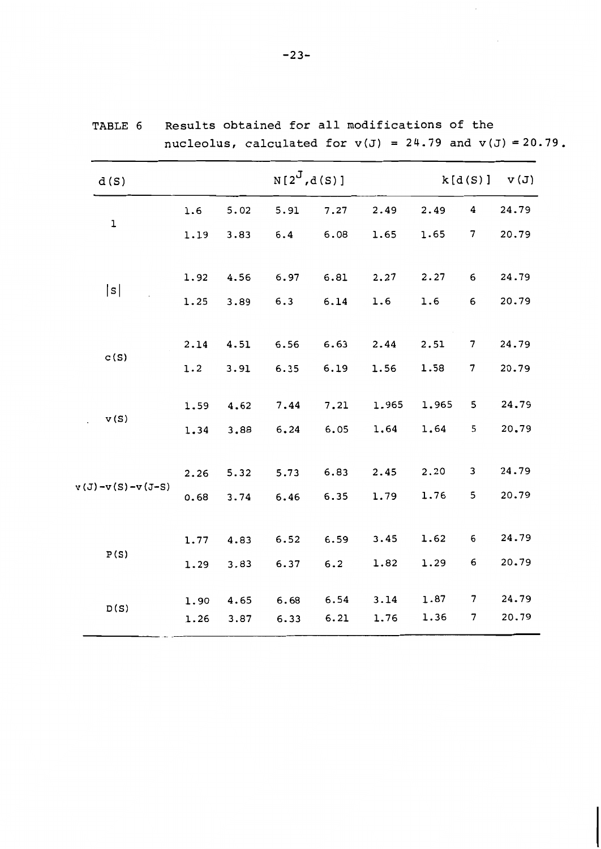| d(S)               |      |      | $N[2^{J},d(S)]$ | $k[d(S)]$ $v(J)$ |       |       |                          |       |
|--------------------|------|------|-----------------|------------------|-------|-------|--------------------------|-------|
|                    | 1.6  | 5.02 | 5.91            | 7.27             | 2.49  | 2.49  | 4                        | 24.79 |
| $\mathbf 1$        | 1.19 | 3.83 | 6.4             | 6.08             | 1.65  | 1.65  | 7                        | 20.79 |
|                    | 1.92 | 4.56 | 6.97            | 6.81             | 2.27  | 2.27  | 6                        | 24.79 |
| s                  | 1.25 | 3.89 | 6.3             | 6.14             | 1.6   | 1.6   | 6                        | 20.79 |
|                    | 2.14 | 4.51 | 6.56            | 6.63             | 2.44  | 2.51  | $\overline{7}$           | 24.79 |
| c(S)               | 1.2  | 3.91 | 6.35            | 6.19             | 1.56  | 1.58  | 7                        | 20.79 |
| v(S)               | 1.59 | 4.62 | 7.44            | 7.21             | 1.965 | 1.965 | 5                        | 24,79 |
|                    | 1.34 | 3.88 | 6, 24           | 6.05             | 1.64  | 1.64  | 5                        | 20.79 |
|                    | 2.26 | 5.32 | 5.73            | 6.83             | 2.45  | 2.20  | 3                        | 24.79 |
| $v(J)-v(S)-v(J-S)$ | 0.68 | 3.74 | 6.46            | 6.35             | 1.79  | 1.76  | 5                        | 20.79 |
|                    | 1.77 | 4.83 | 6.52            | 6.59             | 3.45  | 1.62  | 6                        | 24.79 |
| P(S)               | 1.29 | 3.83 | 6.37            | 6.2              | 1.82  | 1.29  | 6                        | 20.79 |
| D(S)               | 1.90 | 4.65 | 6.68            | 6.54             | 3.14  | 1.87  | $\overline{\phantom{a}}$ | 24.79 |
|                    | 1.26 | 3.87 | 6.33            | 6.21             | 1.76  | 1.36  | $\overline{7}$           | 20.79 |

**TABLE 6 Results obtained for all modifications of the**   $nucleolus$ , calculated for  $v(J) = 24.79$  and  $v(J) = 20.79$ .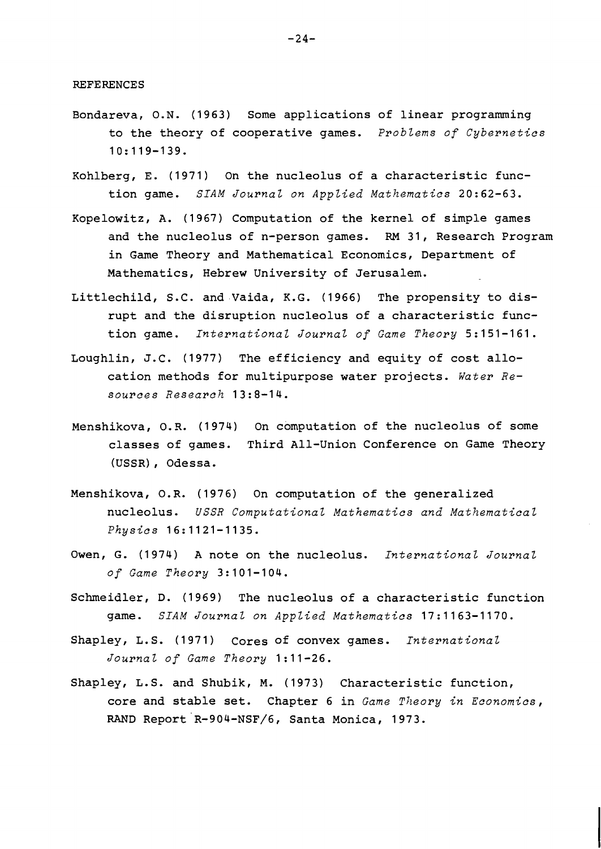REFERENCES

- Bondareva, O.N. (1963) Some applications of linear programming to the theory of cooperative games. *Problems of Cybernetics*  10:119-139.
- Kohlberg, E. (1971) On the nucleolus of a characteristic function game. *SIAM Journal on Applied Mathematics* 20:62-63.
- Kopelowitz, A. (1967) Computation of the kernel of simple games and the nucleolus of n-person games. RM 31, Research Program in Game Theory and Mathematical Economics, Department of Mathematics, Hebrew University of Jerusalem.
- Littlechild, S.C. and Vaida, K.G. (1966) The propensity to disrupt and the disruption nucleolus of a characteristic function game. *International Journal of Game Theory* 5:151-161.
- Loughlin, J.C. (1977) The efficiency and equity of cost allocation methods for multipurpose water projects. *Water Resources Research* 13:8-14.
- Menshikova, O.R. (1974) On computation of the nucleolus of some classes of games. Third All-Union Conference on Game Theory (USSR) , Odessa.
- Menshikova, O.R. (1976) On computation of the generalized nucleolus. *USSR Computational Mathematics and Mathematical Physics* 16:1121-1135.
- Owen, G. (1974) A note on the nucleolus. *International Journal of Game Theory* 3:101-104.
- Schmeidler, D. (1969) The nucleolus of a characteristic function game. *SIAM Journal on Applied Mathematics* 17:1163-1170.
- Shapley, L.S. (1971) Cores of convex games. *International*  Journal of Game Theory 1:11-26.
- Shapley, L.S. and Shubik, M. (1973) Characteristic function, core and stable set. Chapter 6 in *Game Theory in Economics,*  RAND Report R-904-NSF/6, Santa Monica, 1973.